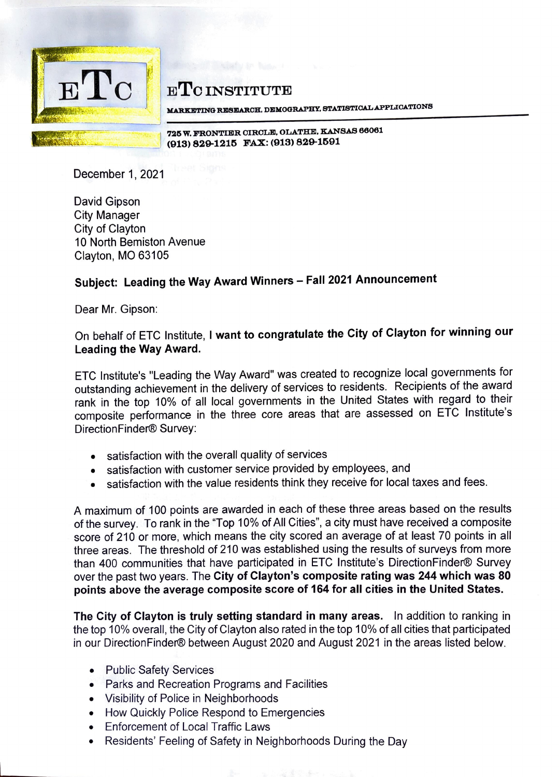

## **ETC INSTITUTE**

**:au.RXBTINO RJDS:BIAROH, DBl:MOORAPBY, STATISTIOALAPPLIOATIONS** 

725 W. FRONTIER CIRCLE, OLATHE, KANSAS 66061<br>(913) 829-1215 FAX: (913) 829-1591

December 1, 2021

David Gipson City Manager City of Clayton 10 North Bemiston Avenue Clayton, MO 63105

## **Subject: Leading the Way Award Winners - Fall 2021 Announcement**

Dear Mr. Gipson:

## On behalf of ETC Institute, I **want to congratulate the City of Clayton for winning our Leading the Way Award.**

ETC lnstitute's "Leading the Way Award" was created to recognize local governments for outstanding achievement in the delivery of services to residents. Recipients of the award rank in the top 10% of all local governments in the United States with regard to their composite performance in the three core areas that are assessed on ETC lnstitute's DirectionFinder® Survey:

- satisfaction with the overall quality of services
- satisfaction with customer service provided by employees, and
- satisfaction with the value residents think they receive for local taxes and fees.

A maximum of 100 points are awarded in each of these three areas based on the results of the survey. To rank in the "Top 10% of All Cities", a city must have received a composite score of 210 or more, which means the city scored an average of at least 70 points in all three areas. The threshold of 210 was established using the results of surveys from more than 400 communities that have participated in ETC lnstitute's DirectionFinder® Survey over the past two years. The **City of Clayton's composite rating was 244 which was 80 points above the average composite score of 164 for all cities in the United States.** 

**The City of Clayton is truly setting standard in many areas.** In addition to ranking in the top 10% overall, the City of Clayton also rated in the top 10% of all cities that participated in our DirectionFinder® between August 2020 and August 2021 in the areas listed below.

- Public Safety Services
- Parks and Recreation Programs and Facilities
- Visibility of Police in Neighborhoods
- How Quickly Police Respond to Emergencies
- Enforcement of Local Traffic Laws
- Residents' Feeling of Safety in Neighborhoods During the Day